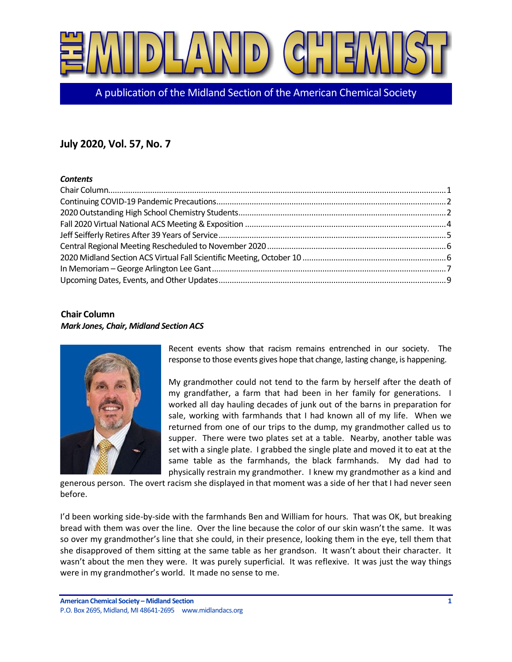

A publication of the Midland Section of the American Chemical Society

# **July 2020, Vol. 57, No. 7**

#### *Contents*

## <span id="page-0-0"></span>**Chair Column** *Mark Jones, Chair, Midland Section ACS*



Recent events show that racism remains entrenched in our society. The response to those events gives hope that change, lasting change, is happening.

My grandmother could not tend to the farm by herself after the death of my grandfather, a farm that had been in her family for generations. I worked all day hauling decades of junk out of the barns in preparation for sale, working with farmhands that I had known all of my life. When we returned from one of our trips to the dump, my grandmother called us to supper. There were two plates set at a table. Nearby, another table was set with a single plate. I grabbed the single plate and moved it to eat at the same table as the farmhands, the black farmhands. My dad had to physically restrain my grandmother. I knew my grandmother as a kind and

generous person. The overt racism she displayed in that moment was a side of her that I had never seen before.

I'd been working side-by-side with the farmhands Ben and William for hours. That was OK, but breaking bread with them was over the line. Over the line because the color of our skin wasn't the same. It was so over my grandmother's line that she could, in their presence, looking them in the eye, tell them that she disapproved of them sitting at the same table as her grandson. It wasn't about their character. It wasn't about the men they were. It was purely superficial. It was reflexive. It was just the way things were in my grandmother's world. It made no sense to me.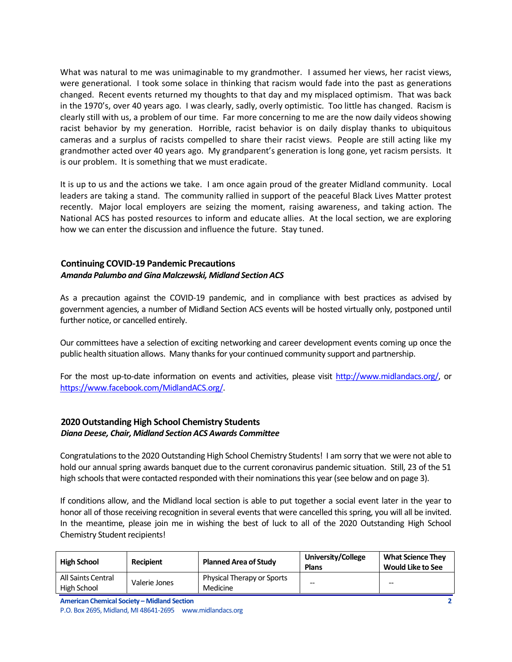What was natural to me was unimaginable to my grandmother. I assumed her views, her racist views, were generational. I took some solace in thinking that racism would fade into the past as generations changed. Recent events returned my thoughts to that day and my misplaced optimism. That was back in the 1970's, over 40 years ago. I was clearly, sadly, overly optimistic. Too little has changed. Racism is clearly still with us, a problem of our time. Far more concerning to me are the now daily videos showing racist behavior by my generation. Horrible, racist behavior is on daily display thanks to ubiquitous cameras and a surplus of racists compelled to share their racist views. People are still acting like my grandmother acted over 40 years ago. My grandparent's generation is long gone, yet racism persists. It is our problem. It is something that we must eradicate.

It is up to us and the actions we take. I am once again proud of the greater Midland community. Local leaders are taking a stand. The community rallied in support of the peaceful Black Lives Matter protest recently. Major local employers are seizing the moment, raising awareness, and taking action. The National ACS has posted resources to inform and educate allies. At the local section, we are exploring how we can enter the discussion and influence the future. Stay tuned.

#### <span id="page-1-0"></span>**Continuing COVID-19 Pandemic Precautions** *Amanda Palumbo and Gina Malczewski, Midland Section ACS*

As a precaution against the COVID-19 pandemic, and in compliance with best practices as advised by government agencies, a number of Midland Section ACS events will be hosted virtually only, postponed until further notice, or cancelled entirely.

Our committees have a selection of exciting networking and career development events coming up once the public health situation allows. Many thanks for your continued community support and partnership.

For the most up-to-date information on events and activities, please visit [http://www.midlandacs.org/,](http://www.midlandacs.org/) or [https://www.facebook.com/MidlandACS.org/.](https://www.facebook.com/MidlandACS.org/)

#### <span id="page-1-1"></span>**2020 Outstanding High School Chemistry Students** *Diana Deese, Chair, Midland Section ACS Awards Committee*

Congratulations to the 2020 Outstanding High School Chemistry Students! I am sorry that we were not able to hold our annual spring awards banquet due to the current coronavirus pandemic situation. Still, 23 of the 51 high schools that were contacted responded with their nominations this year (see below and on page 3).

If conditions allow, and the Midland local section is able to put together a social event later in the year to honor all of those receiving recognition in several events that were cancelled this spring, you will all be invited. In the meantime, please join me in wishing the best of luck to all of the 2020 Outstanding High School Chemistry Student recipients!

| <b>High School</b>                | Recipient     | <b>Planned Area of Study</b>                  | University/College<br><b>Plans</b> | <b>What Science They</b><br><b>Would Like to See</b> |
|-----------------------------------|---------------|-----------------------------------------------|------------------------------------|------------------------------------------------------|
| All Saints Central<br>High School | Valerie Jones | <b>Physical Therapy or Sports</b><br>Medicine | --                                 | --                                                   |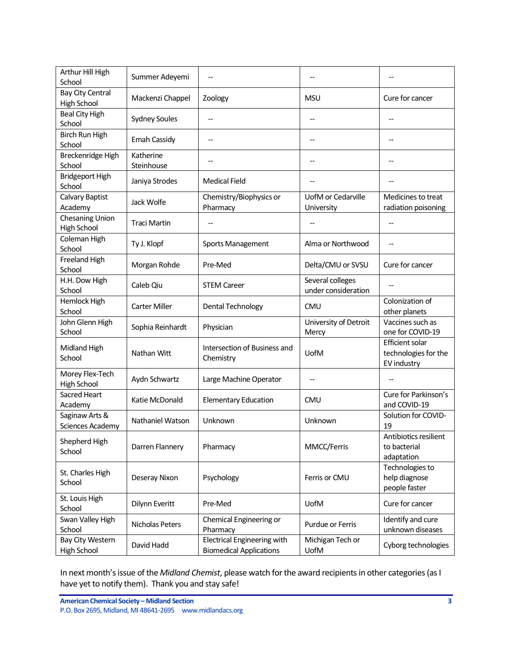| Arthur Hill High<br>School             | Summer Adeyemi          |                                                                      |                                         |                                                        |
|----------------------------------------|-------------------------|----------------------------------------------------------------------|-----------------------------------------|--------------------------------------------------------|
| Bay City Central<br><b>High School</b> | Mackenzi Chappel        | Zoology                                                              | <b>MSU</b>                              | Cure for cancer                                        |
| <b>Beal City High</b><br>School        | <b>Sydney Soules</b>    | --                                                                   |                                         |                                                        |
| Birch Run High<br>School               | Emah Cassidy            |                                                                      |                                         |                                                        |
| Breckenridge High<br>School            | Katherine<br>Steinhouse |                                                                      |                                         |                                                        |
| <b>Bridgeport High</b><br>School       | Janiya Strodes          | <b>Medical Field</b>                                                 |                                         |                                                        |
| Calvary Baptist<br>Academy             | Jack Wolfe              | Chemistry/Biophysics or<br>Pharmacy                                  | UofM or Cedarville<br>University        | Medicines to treat<br>radiation poisoning              |
| Chesaning Union<br>High School         | <b>Traci Martin</b>     |                                                                      |                                         |                                                        |
| Coleman High<br>School                 | Ty J. Klopf             | Sports Management                                                    | Alma or Northwood                       |                                                        |
| Freeland High<br>School                | Morgan Rohde            | Pre-Med                                                              | Delta/CMU or SVSU                       | Cure for cancer                                        |
| H.H. Dow High<br>School                | Caleb Qiu               | <b>STEM Career</b>                                                   | Several colleges<br>under consideration |                                                        |
| Hemlock High<br>School                 | <b>Carter Miller</b>    | Dental Technology                                                    | <b>CMU</b>                              | Colonization of<br>other planets                       |
| John Glenn High<br>School              | Sophia Reinhardt        | Physician                                                            | University of Detroit<br>Mercy          | Vaccines such as<br>one for COVID-19                   |
| Midland High<br>School                 | Nathan Witt             | Intersection of Business and<br>Chemistry                            | UofM                                    | Efficient solar<br>technologies for the<br>EV industry |
| Morey Flex-Tech<br><b>High School</b>  | Aydn Schwartz           | Large Machine Operator                                               |                                         |                                                        |
| Sacred Heart<br>Academy                | Katie McDonald          | <b>Elementary Education</b>                                          | <b>CMU</b>                              | Cure for Parkinson's<br>and COVID-19                   |
| Saginaw Arts &<br>Sciences Academy     | Nathaniel Watson        | Unknown                                                              | Unknown                                 | Solution for COVID-<br>19                              |
| Shepherd High<br>School                | Darren Flannery         | Pharmacy                                                             | MMCC/Ferris                             | Antibiotics resilient<br>to bacterial<br>adaptation    |
| St. Charles High<br>School             | Deseray Nixon           | Psychology                                                           | Ferris or CMU                           | Technologies to<br>help diagnose<br>people faster      |
| St. Louis High<br>School               | Dilynn Everitt          | Pre-Med                                                              | UofM                                    | Cure for cancer                                        |
| Swan Valley High<br>School             | Nicholas Peters         | Chemical Engineering or<br>Pharmacy                                  | Purdue or Ferris                        | Identify and cure<br>unknown diseases                  |
| Bay City Western<br>High School        | David Hadd              | <b>Electrical Engineering with</b><br><b>Biomedical Applications</b> | Michigan Tech or<br>UofM                | Cyborg technologies                                    |

In next month's issue of the *Midland Chemist*, please watch for the award recipients in other categories (as I have yet to notify them). Thank you and stay safe!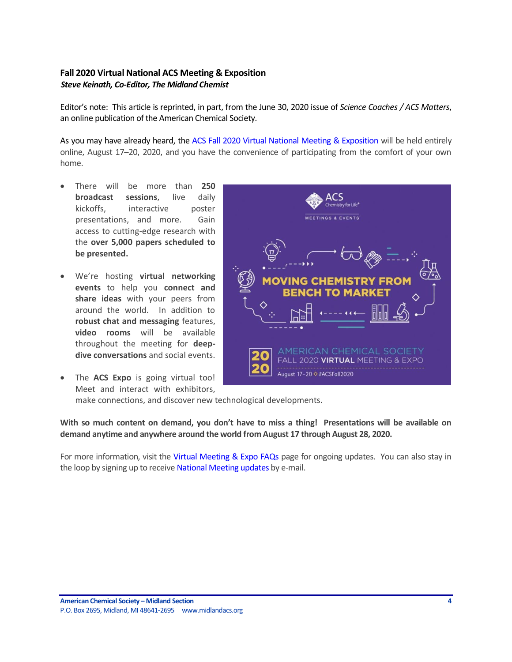## <span id="page-3-0"></span>**Fall 2020 Virtual National ACS Meeting & Exposition** *Steve Keinath, Co-Editor, The Midland Chemist*

Editor's note: This article is reprinted, in part, from the June 30, 2020 issue of *Science Coaches / ACS Matters*, an online publication of the American Chemical Society.

As you may have already heard, th[e ACS Fall 2020 Virtual National Meeting & Exposition](http://app.connect.discoveracs.org/e/er?s=341921710&lid=3152&elqTrackId=14CCBB300ABE55D2DD8524F097E12CE3&elq=29c50ff1978046f19d7135f7f7b8acc7&elqaid=1563&elqat=1) will be held entirely online, August 17–20, 2020, and you have the convenience of participating from the comfort of your own home.

- There will be more than **250 broadcast sessions**, live daily kickoffs, interactive poster presentations, and more. Gain access to cutting-edge research with the **over 5,000 papers scheduled to be presented.**
- We're hosting **virtual networking events** to help you **connect and share ideas** with your peers from around the world. In addition to **robust chat and messaging** features, **video rooms** will be available throughout the meeting for **deepdive conversations** and social events.
- The **ACS Expo** is going virtual too! Meet and interact with exhibitors,



make connections, and discover new technological developments.

**With so much content on demand, you don't have to miss a thing! Presentations will be available on demand anytime and anywhere around the world from August 17 through August 28, 2020.**

For more information, visit the [Virtual Meeting & Expo FAQs](http://app.connect.discoveracs.org/e/er?s=341921710&lid=3152&elqTrackId=7E40C602E3493E622FE429F8831BB7D2&elq=29c50ff1978046f19d7135f7f7b8acc7&elqaid=1563&elqat=1) page for ongoing updates. You can also stay in the loop by signing up to receiv[e National Meeting updates](http://app.connect.discoveracs.org/e/er?s=341921710&lid=3152&elqTrackId=6ADF666239128A5AA91AEF17442398E3&elq=29c50ff1978046f19d7135f7f7b8acc7&elqaid=1563&elqat=1) by e-mail.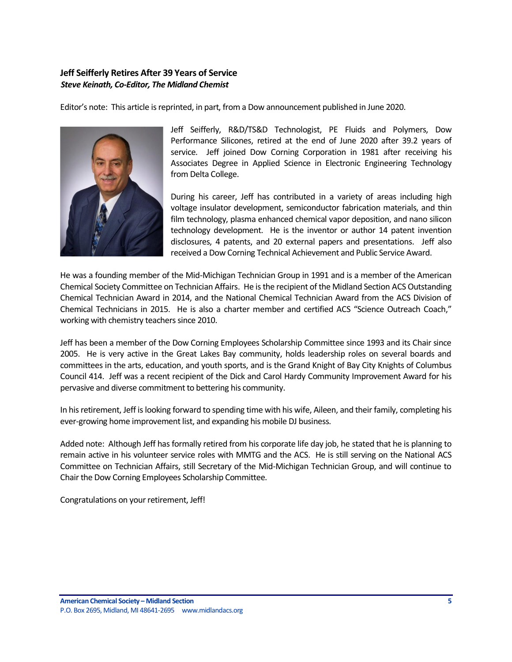## <span id="page-4-0"></span>**Jeff Seifferly Retires After 39 Years of Service** *Steve Keinath, Co-Editor, The Midland Chemist*

Editor's note: This article is reprinted, in part, from a Dow announcement published in June 2020.



Jeff Seifferly, R&D/TS&D Technologist, PE Fluids and Polymers, Dow Performance Silicones, retired at the end of June 2020 after 39.2 years of service. Jeff joined Dow Corning Corporation in 1981 after receiving his Associates Degree in Applied Science in Electronic Engineering Technology from Delta College.

During his career, Jeff has contributed in a variety of areas including high voltage insulator development, semiconductor fabrication materials, and thin film technology, plasma enhanced chemical vapor deposition, and nano silicon technology development. He is the inventor or author 14 patent invention disclosures, 4 patents, and 20 external papers and presentations. Jeff also received a Dow Corning Technical Achievement and Public Service Award.

He was a founding member of the Mid-Michigan Technician Group in 1991 and is a member of the American Chemical Society Committee on Technician Affairs. He is the recipient of the Midland Section ACS Outstanding Chemical Technician Award in 2014, and the National Chemical Technician Award from the ACS Division of Chemical Technicians in 2015. He is also a charter member and certified ACS "Science Outreach Coach," working with chemistry teachers since 2010.

Jeff has been a member of the Dow Corning Employees Scholarship Committee since 1993 and its Chair since 2005. He is very active in the Great Lakes Bay community, holds leadership roles on several boards and committees in the arts, education, and youth sports, and is the Grand Knight of Bay City Knights of Columbus Council 414. Jeff was a recent recipient of the Dick and Carol Hardy Community Improvement Award for his pervasive and diverse commitment to bettering his community.

In his retirement, Jeff is looking forward to spending time with his wife, Aileen, and their family, completing his ever-growing home improvement list, and expanding his mobile DJ business.

Added note: Although Jeff has formally retired from his corporate life day job, he stated that he is planning to remain active in his volunteer service roles with MMTG and the ACS. He is still serving on the National ACS Committee on Technician Affairs, still Secretary of the Mid-Michigan Technician Group, and will continue to Chair the Dow Corning Employees Scholarship Committee.

Congratulations on your retirement, Jeff!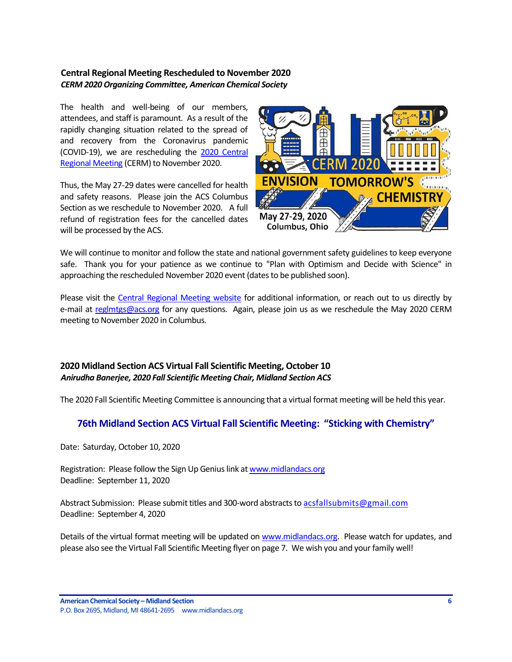### <span id="page-5-0"></span>**Central Regional Meeting Rescheduled to November 2020** *CERM 2020 Organizing Committee, American Chemical Society*

The health and well-being of our members, attendees, and staff is paramount. As a result of the rapidly changing situation related to the spread of and recovery from the Coronavirus pandemic (COVID-19), we are rescheduling the [2020 Central](https://cerm2020.org/?sc=200226_mtg_em_regional_CERM_od)  [Regional Meeting](https://cerm2020.org/?sc=200226_mtg_em_regional_CERM_od) (CERM) to November 2020.

Thus, the May 27-29 dates were cancelled for health and safety reasons. Please join the ACS Columbus Section as we reschedule to November 2020. A full refund of registration fees for the cancelled dates will be processed by the ACS.



We will continue to monitor and follow the state and national government safety guidelines to keep everyone safe. Thank you for your patience as we continue to "Plan with Optimism and Decide with Science" in approaching the rescheduled November 2020 event (dates to be published soon).

Please visit the [Central Regional Meeting website](https://cerm2020.org/?sc=200226_mtg_em_regional_CERM_od) for additional information, or reach out to us directly by e-mail at [reglmtgs@acs.org](mailto:reglmtgs@acs.org) for any questions. Again, please join us as we reschedule the May 2020 CERM meeting to November 2020 in Columbus.

## <span id="page-5-1"></span>**2020 Midland Section ACS Virtual Fall Scientific Meeting, October 10** *Anirudha Banerjee, 2020 Fall Scientific Meeting Chair, Midland Section ACS*

The 2020 Fall Scientific Meeting Committee is announcing that a virtual format meeting will be held this year.

## **76th Midland Section ACS Virtual Fall Scientific Meeting: "Sticking with Chemistry"**

Date: Saturday, October 10, 2020

Registration: Please follow the Sign Up Genius link at [www.midlandacs.org](http://www.midlandacs.org/) Deadline: September 11, 2020

Abstract Submission: Please submit titles and 300-word abstracts to [acsfallsubmits@gmail.com](mailto:Acsfallsubmits@gmail.com) Deadline: September 4, 2020

Details of the virtual format meeting will be updated on [www.midlandacs.org.](http://www.midlandacs.org/) Please watch for updates, and please also see the Virtual Fall Scientific Meeting flyer on page 7. We wish you and your family well!

**American Chemical Society – Midland Section 6** P.O. Box 2695, Midland, MI 48641-2695 www.midlandacs.org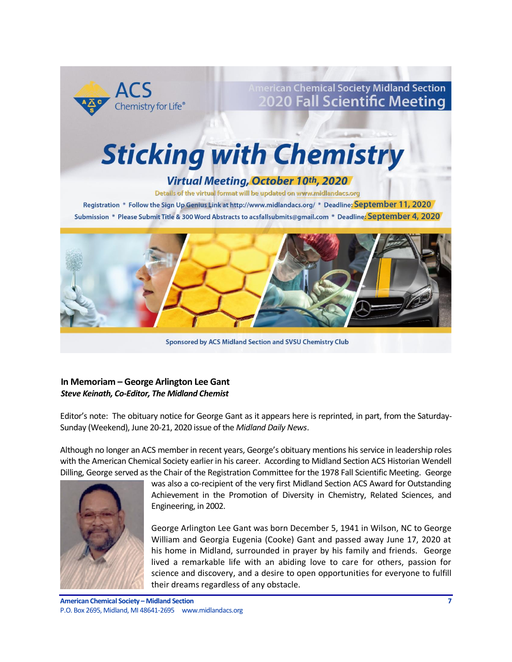

**Imerican Chemical Society Midland Section 2020 Fall Scientific Meeting** 

# **Sticking with Chemistry**

# Virtual Meeting, October 10th, 2020

Details of the virtual format will be updated on www.midlandacs.org

Registration \* Follow the Sign Up Genius Link at http://www.midlandacs.org/ \* Deadline: September 11, 2020 Submission \* Please Submit Title & 300 Word Abstracts to acsfallsubmits@gmail.com \* Deadline: September 4, 2020



Sponsored by ACS Midland Section and SVSU Chemistry Club

### <span id="page-6-0"></span>**In Memoriam – George Arlington Lee Gant** *Steve Keinath, Co-Editor, The Midland Chemist*

Editor's note: The obituary notice for George Gant as it appears here is reprinted, in part, from the Saturday-Sunday (Weekend), June 20-21, 2020 issue of the *Midland Daily News*.

Although no longer an ACS member in recent years, George's obituary mentions his service in leadership roles with the American Chemical Society earlier in his career. According to Midland Section ACS Historian Wendell Dilling, George served as the Chair of the Registration Committee for the 1978 Fall Scientific Meeting. George



was also a co-recipient of the very first Midland Section ACS Award for Outstanding Achievement in the Promotion of Diversity in Chemistry, Related Sciences, and Engineering, in 2002.

George Arlington Lee Gant was born December 5, 1941 in Wilson, NC to George William and Georgia Eugenia (Cooke) Gant and passed away June 17, 2020 at his home in Midland, surrounded in prayer by his family and friends. George lived a remarkable life with an abiding love to care for others, passion for science and discovery, and a desire to open opportunities for everyone to fulfill their dreams regardless of any obstacle.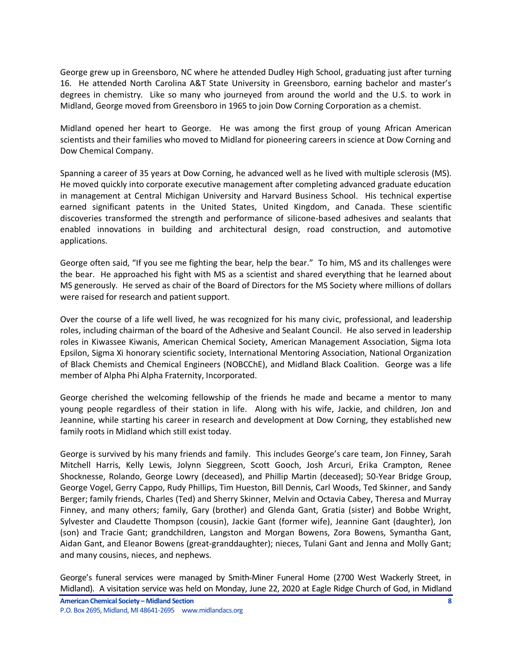George grew up in Greensboro, NC where he attended Dudley High School, graduating just after turning 16. He attended North Carolina A&T State University in Greensboro, earning bachelor and master's degrees in chemistry. Like so many who journeyed from around the world and the U.S. to work in Midland, George moved from Greensboro in 1965 to join Dow Corning Corporation as a chemist.

Midland opened her heart to George. He was among the first group of young African American scientists and their families who moved to Midland for pioneering careers in science at Dow Corning and Dow Chemical Company.

Spanning a career of 35 years at Dow Corning, he advanced well as he lived with multiple sclerosis (MS). He moved quickly into corporate executive management after completing advanced graduate education in management at Central Michigan University and Harvard Business School. His technical expertise earned significant patents in the United States, United Kingdom, and Canada. These scientific discoveries transformed the strength and performance of silicone-based adhesives and sealants that enabled innovations in building and architectural design, road construction, and automotive applications.

George often said, "If you see me fighting the bear, help the bear." To him, MS and its challenges were the bear. He approached his fight with MS as a scientist and shared everything that he learned about MS generously. He served as chair of the Board of Directors for the MS Society where millions of dollars were raised for research and patient support.

Over the course of a life well lived, he was recognized for his many civic, professional, and leadership roles, including chairman of the board of the Adhesive and Sealant Council. He also served in leadership roles in Kiwassee Kiwanis, American Chemical Society, American Management Association, Sigma Iota Epsilon, Sigma Xi honorary scientific society, International Mentoring Association, National Organization of Black Chemists and Chemical Engineers (NOBCChE), and Midland Black Coalition. George was a life member of Alpha Phi Alpha Fraternity, Incorporated.

George cherished the welcoming fellowship of the friends he made and became a mentor to many young people regardless of their station in life. Along with his wife, Jackie, and children, Jon and Jeannine, while starting his career in research and development at Dow Corning, they established new family roots in Midland which still exist today.

George is survived by his many friends and family. This includes George's care team, Jon Finney, Sarah Mitchell Harris, Kelly Lewis, Jolynn Sieggreen, Scott Gooch, Josh Arcuri, Erika Crampton, Renee Shocknesse, Rolando, George Lowry (deceased), and Phillip Martin (deceased); 50-Year Bridge Group, George Vogel, Gerry Cappo, Rudy Phillips, Tim Hueston, Bill Dennis, Carl Woods, Ted Skinner, and Sandy Berger; family friends, Charles (Ted) and Sherry Skinner, Melvin and Octavia Cabey, Theresa and Murray Finney, and many others; family, Gary (brother) and Glenda Gant, Gratia (sister) and Bobbe Wright, Sylvester and Claudette Thompson (cousin), Jackie Gant (former wife), Jeannine Gant (daughter), Jon (son) and Tracie Gant; grandchildren, Langston and Morgan Bowens, Zora Bowens, Symantha Gant, Aidan Gant, and Eleanor Bowens (great-granddaughter); nieces, Tulani Gant and Jenna and Molly Gant; and many cousins, nieces, and nephews.

George's funeral services were managed by Smith-Miner Funeral Home (2700 West Wackerly Street, in Midland). A visitation service was held on Monday, June 22, 2020 at Eagle Ridge Church of God, in Midland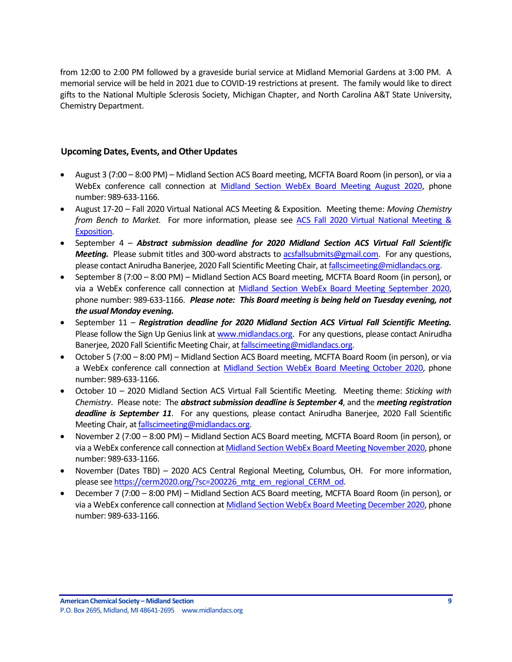from 12:00 to 2:00 PM followed by a graveside burial service at Midland Memorial Gardens at 3:00 PM. A memorial service will be held in 2021 due to COVID-19 restrictions at present. The family would like to direct gifts to the National Multiple Sclerosis Society, Michigan Chapter, and North Carolina A&T State University, Chemistry Department.

#### <span id="page-8-0"></span>**Upcoming Dates, Events, and Other Updates**

- August 3 (7:00 8:00 PM) Midland Section ACS Board meeting, MCFTA Board Room (in person), or via a WebEx conference call connection at [Midland Section WebEx Board Meeting August 2020,](https://dow.webex.com/webappng/sites/dow/meeting/info/147369865088373225?MTID=m9e575e5b99b945a631d5e929d4c9b94e) phone number: 989-633-1166.
- August 17-20 Fall 2020 Virtual National ACS Meeting & Exposition. Meeting theme: *Moving Chemistry from Bench to Market*. For more information, please see [ACS Fall 2020 Virtual National Meeting &](http://app.connect.discoveracs.org/e/er?s=341921710&lid=3152&elqTrackId=14CCBB300ABE55D2DD8524F097E12CE3&elq=29c50ff1978046f19d7135f7f7b8acc7&elqaid=1563&elqat=1)  [Exposition.](http://app.connect.discoveracs.org/e/er?s=341921710&lid=3152&elqTrackId=14CCBB300ABE55D2DD8524F097E12CE3&elq=29c50ff1978046f19d7135f7f7b8acc7&elqaid=1563&elqat=1)
- September 4 *Abstract submission deadline for 2020 Midland Section ACS Virtual Fall Scientific Meeting.* Please submit titles and 300-word abstracts to [acsfallsubmits@gmail.com.](mailto:acsfallsubmits@gmail.com) For any questions, please contact Anirudha Banerjee, 2020 Fall Scientific Meeting Chair, a[t fallscimeeting@midlandacs.org.](mailto:fallscimeeting@midlandacs.org)
- September 8 (7:00 8:00 PM) Midland Section ACS Board meeting, MCFTA Board Room (in person), or via a WebEx conference call connection at [Midland Section WebEx Board Meeting September 2020,](https://dow.webex.com/webappng/sites/dow/meeting/info/147369910636417826?MTID=m8efde4d24b3170a04b675077a31db6ff) phone number: 989-633-1166. *Please note: This Board meeting is being held on Tuesday evening, not the usual Monday evening.*
- September 11 *Registration deadline for 2020 Midland Section ACS Virtual Fall Scientific Meeting.* Please follow the Sign Up Genius link a[t www.midlandacs.org.](http://www.midlandacs.org/) For any questions, please contact Anirudha Banerjee, 2020 Fall Scientific Meeting Chair, a[t fallscimeeting@midlandacs.org.](mailto:fallscimeeting@midlandacs.org)
- October 5 (7:00 8:00 PM) Midland Section ACS Board meeting, MCFTA Board Room (in person), or via a WebEx conference call connection at [Midland Section WebEx Board Meeting October 2020,](https://dow.webex.com/webappng/sites/dow/meeting/info/147369963561194403?MTID=m4433e125aba5a6c26b6e32d347ffc7bf) phone number: 989-633-1166.
- October 10 2020 Midland Section ACS Virtual Fall Scientific Meeting. Meeting theme: *Sticking with Chemistry*. Please note: The *abstract submission deadline is September 4*, and the *meeting registration deadline is September 11*. For any questions, please contact Anirudha Banerjee, 2020 Fall Scientific Meeting Chair, a[t fallscimeeting@midlandacs.org.](mailto:fallscimeeting@midlandacs.org)
- November 2 (7:00 8:00 PM) Midland Section ACS Board meeting, MCFTA Board Room (in person), or via a WebEx conference call connection a[t Midland Section WebEx Board Meeting November 2020,](https://dow.webex.com/webappng/sites/dow/meeting/info/147370014930932607?MTID=me1a04d08b255f6ca75034382b9c32601) phone number: 989-633-1166.
- November (Dates TBD) 2020 ACS Central Regional Meeting, Columbus, OH. For more information, please se[e https://cerm2020.org/?sc=200226\\_mtg\\_em\\_regional\\_CERM\\_od.](https://cerm2020.org/?sc=200226_mtg_em_regional_CERM_od)
- December 7 (7:00 8:00 PM) Midland Section ACS Board meeting, MCFTA Board Room (in person), or via a WebEx conference call connection at [Midland Section WebEx Board Meeting December 2020,](https://dow.webex.com/webappng/sites/dow/meeting/info/147370068640043188?MTID=m2ecd52d22a6ec33abe1a2ba613bc7492) phone number: 989-633-1166.